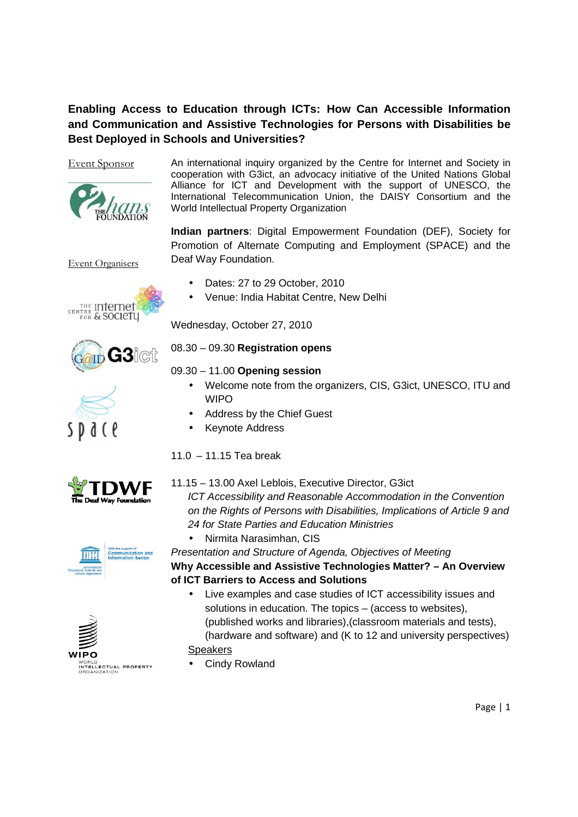# **Enabling Access to Education through ICTs: How Can Accessible Information and Communication and Assistive Technologies for Persons with Disabilities be Best Deployed in Schools and Universities?**



Event Sponsor An international inquiry organized by the Centre for Internet and Society in cooperation with G3ict, an advocacy initiative of the United Nations Global Alliance for ICT and Development with the support of UNESCO, the International Telecommunication Union, the DAISY Consortium and the World Intellectual Property Organization

> **Indian partners**: Digital Empowerment Foundation (DEF), Society for Promotion of Alternate Computing and Employment (SPACE) and the Deaf Way Foundation.

Event Organisers









• Venue: India Habitat Centre, New Delhi

Wednesday, October 27, 2010

## 08.30 – 09.30 **Registration opens**

## 09.30 – 11.00 **Opening session**

- Welcome note from the organizers, CIS, G3ict, UNESCO, ITU and WIPO
- Address by the Chief Guest
- Keynote Address

# 11.0  $-$  11.15 Tea break



# 11.15 – 13.00 Axel Leblois, Executive Director, G3ict

ICT Accessibility and Reasonable Accommodation in the Convention on the Rights of Persons with Disabilities, Implications of Article 9 and 24 for State Parties and Education Ministries

• Nirmita Narasimhan, CIS

Presentation and Structure of Agenda, Objectives of Meeting **Why Accessible and Assistive Technologies Matter? – An Overview of ICT Barriers to Access and Solutions** 

- Live examples and case studies of ICT accessibility issues and solutions in education. The topics – (access to websites), (published works and libraries),(classroom materials and tests), (hardware and software) and (K to 12 and university perspectives) **Speakers**
- Cindy Rowland



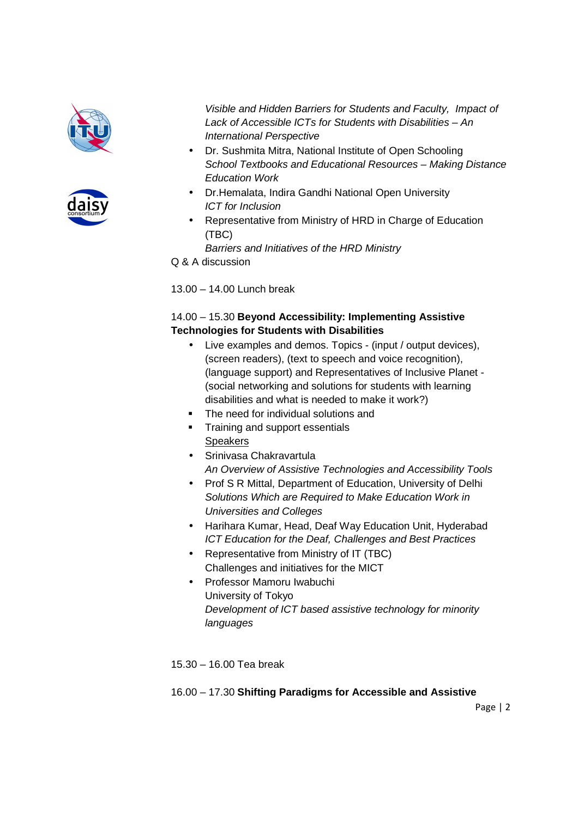



Visible and Hidden Barriers for Students and Faculty, Impact of Lack of Accessible ICTs for Students with Disabilities – An International Perspective

- Dr. Sushmita Mitra, National Institute of Open Schooling School Textbooks and Educational Resources – Making Distance Education Work
- Dr.Hemalata, Indira Gandhi National Open University ICT for Inclusion
- Representative from Ministry of HRD in Charge of Education (TBC)

Barriers and Initiatives of the HRD Ministry

Q & A discussion

13.00 – 14.00 Lunch break

# 14.00 – 15.30 **Beyond Accessibility: Implementing Assistive Technologies for Students with Disabilities**

- Live examples and demos. Topics (input / output devices), (screen readers), (text to speech and voice recognition), (language support) and Representatives of Inclusive Planet - (social networking and solutions for students with learning disabilities and what is needed to make it work?)
- The need for individual solutions and
- **Training and support essentials Speakers**
- Srinivasa Chakravartula An Overview of Assistive Technologies and Accessibility Tools
- Prof S R Mittal, Department of Education, University of Delhi Solutions Which are Required to Make Education Work in Universities and Colleges
- Harihara Kumar, Head, Deaf Way Education Unit, Hyderabad ICT Education for the Deaf, Challenges and Best Practices
- Representative from Ministry of IT (TBC) Challenges and initiatives for the MICT
- Professor Mamoru Iwabuchi University of Tokyo Development of ICT based assistive technology for minority languages

15.30 – 16.00 Tea break

# 16.00 – 17.30 **Shifting Paradigms for Accessible and Assistive**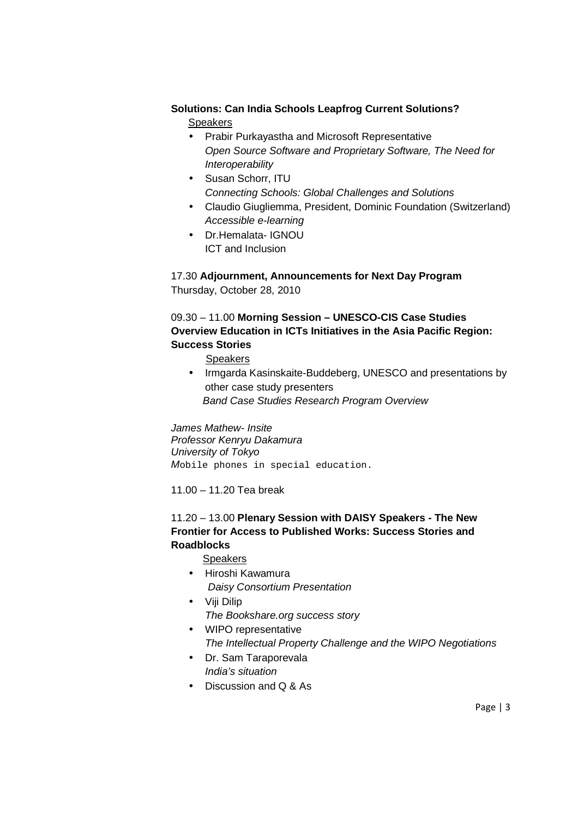## **Solutions: Can India Schools Leapfrog Current Solutions?**

Speakers

- Prabir Purkayastha and Microsoft Representative Open Source Software and Proprietary Software, The Need for **Interoperability**
- Susan Schorr, ITU Connecting Schools: Global Challenges and Solutions
- Claudio Giugliemma, President, Dominic Foundation (Switzerland) Accessible e-learning
- Dr.Hemalata- IGNOU ICT and Inclusion

17.30 **Adjournment, Announcements for Next Day Program**  Thursday, October 28, 2010

# 09.30 – 11.00 **Morning Session – UNESCO-CIS Case Studies Overview Education in ICTs Initiatives in the Asia Pacific Region: Success Stories**

Speakers

• Irmgarda Kasinskaite-Buddeberg, UNESCO and presentations by other case study presenters Band Case Studies Research Program Overview

James Mathew- Insite Professor Kenryu Dakamura University of Tokyo Mobile phones in special education.

11.00 – 11.20 Tea break

## 11.20 – 13.00 **Plenary Session with DAISY Speakers - The New Frontier for Access to Published Works: Success Stories and Roadblocks**

Speakers

- Hiroshi Kawamura Daisy Consortium Presentation
- Viji Dilip The Bookshare.org success story
- WIPO representative The Intellectual Property Challenge and the WIPO Negotiations
- Dr. Sam Taraporevala India's situation
- Discussion and Q & As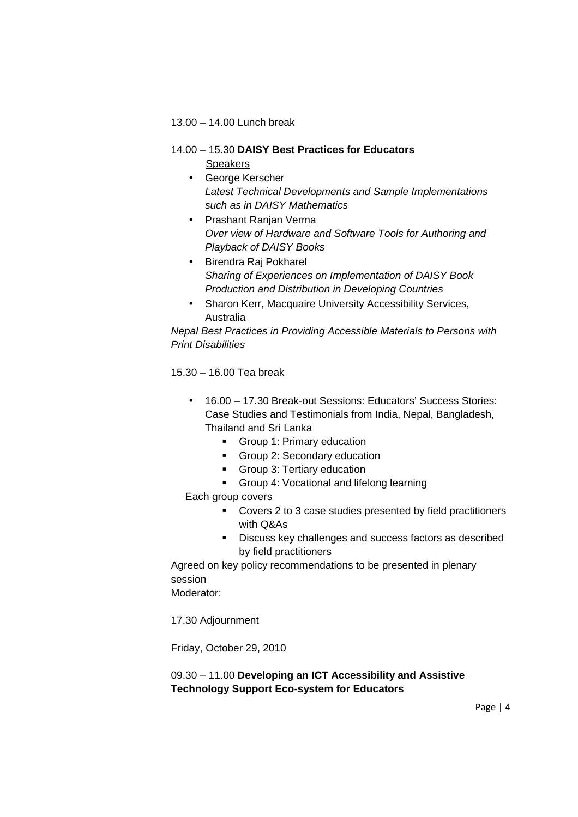#### 13.00 – 14.00 Lunch break

#### 14.00 – 15.30 **DAISY Best Practices for Educators**

Speakers

- George Kerscher Latest Technical Developments and Sample Implementations such as in DAISY Mathematics
- Prashant Ranjan Verma Over view of Hardware and Software Tools for Authoring and Playback of DAISY Books
- Birendra Raj Pokharel Sharing of Experiences on Implementation of DAISY Book Production and Distribution in Developing Countries
- Sharon Kerr, Macquaire University Accessibility Services, Australia

Nepal Best Practices in Providing Accessible Materials to Persons with Print Disabilities

15.30 – 16.00 Tea break

- 16.00 17.30 Break-out Sessions: Educators' Success Stories: Case Studies and Testimonials from India, Nepal, Bangladesh, Thailand and Sri Lanka
	- **Group 1: Primary education**
	- Group 2: Secondary education
	- Group 3: Tertiary education
	- Group 4: Vocational and lifelong learning

Each group covers

- Covers 2 to 3 case studies presented by field practitioners with Q&As
- Discuss key challenges and success factors as described by field practitioners

Agreed on key policy recommendations to be presented in plenary session

Moderator:

17.30 Adjournment

Friday, October 29, 2010

## 09.30 – 11.00 **Developing an ICT Accessibility and Assistive Technology Support Eco-system for Educators**